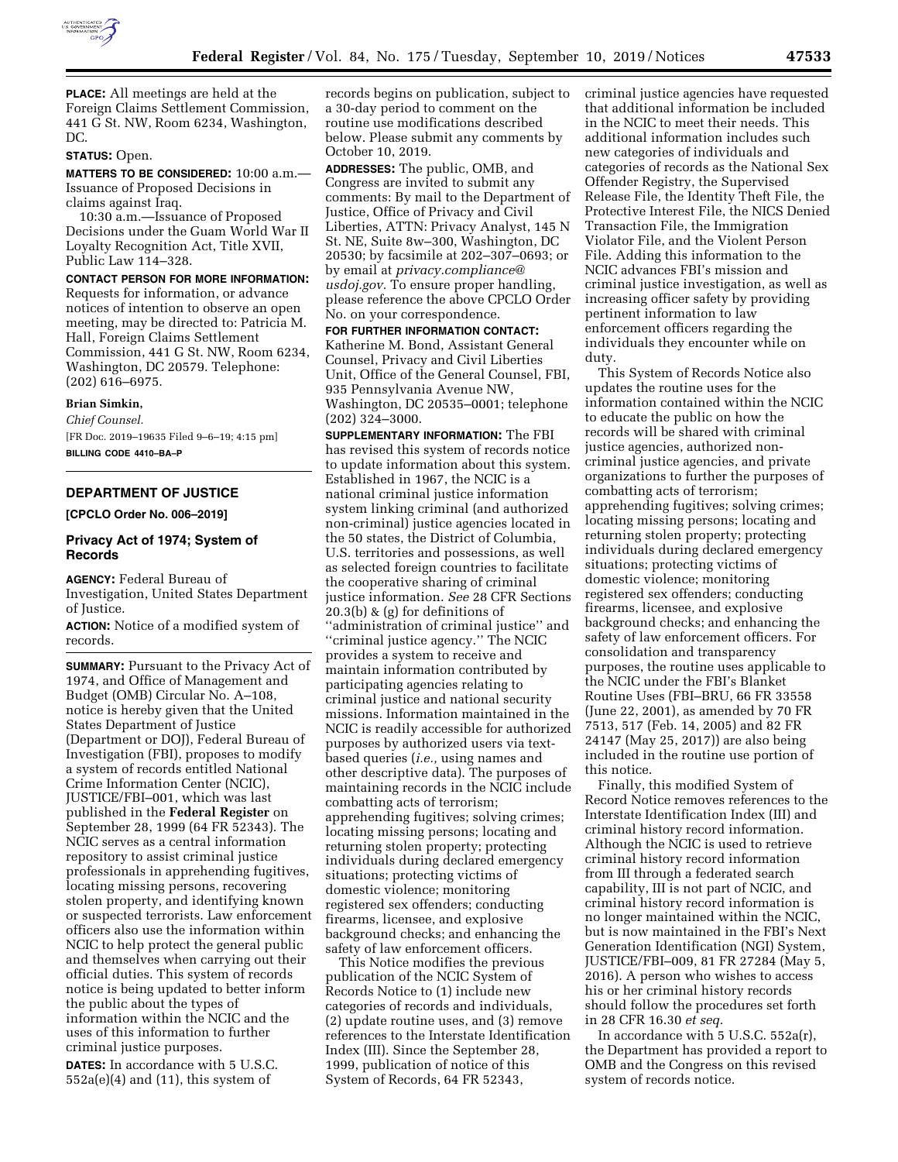

**PLACE:** All meetings are held at the Foreign Claims Settlement Commission, 441 G St. NW, Room 6234, Washington, DC.

# **STATUS:** Open.

**MATTERS TO BE CONSIDERED:** 10:00 a.m.— Issuance of Proposed Decisions in claims against Iraq.

10:30 a.m.—Issuance of Proposed Decisions under the Guam World War II Loyalty Recognition Act, Title XVII, Public Law 114–328.

### **CONTACT PERSON FOR MORE INFORMATION:**

Requests for information, or advance notices of intention to observe an open meeting, may be directed to: Patricia M. Hall, Foreign Claims Settlement Commission, 441 G St. NW, Room 6234, Washington, DC 20579. Telephone: (202) 616–6975.

# **Brian Simkin,**

*Chief Counsel.*  [FR Doc. 2019–19635 Filed 9–6–19; 4:15 pm]

**BILLING CODE 4410–BA–P** 

# **DEPARTMENT OF JUSTICE**

# **[CPCLO Order No. 006–2019]**

# **Privacy Act of 1974; System of Records**

**AGENCY:** Federal Bureau of Investigation, United States Department of Justice.

**ACTION:** Notice of a modified system of records.

**SUMMARY:** Pursuant to the Privacy Act of 1974, and Office of Management and Budget (OMB) Circular No. A–108, notice is hereby given that the United States Department of Justice (Department or DOJ), Federal Bureau of Investigation (FBI), proposes to modify a system of records entitled National Crime Information Center (NCIC), JUSTICE/FBI–001, which was last published in the **Federal Register** on September 28, 1999 (64 FR 52343). The NCIC serves as a central information repository to assist criminal justice professionals in apprehending fugitives, locating missing persons, recovering stolen property, and identifying known or suspected terrorists. Law enforcement officers also use the information within NCIC to help protect the general public and themselves when carrying out their official duties. This system of records notice is being updated to better inform the public about the types of information within the NCIC and the uses of this information to further criminal justice purposes.

**DATES:** In accordance with 5 U.S.C.  $552a(e)(4)$  and  $(11)$ , this system of

records begins on publication, subject to a 30-day period to comment on the routine use modifications described below. Please submit any comments by October 10, 2019.

**ADDRESSES:** The public, OMB, and Congress are invited to submit any comments: By mail to the Department of Justice, Office of Privacy and Civil Liberties, ATTN: Privacy Analyst, 145 N St. NE, Suite 8w–300, Washington, DC 20530; by facsimile at 202–307–0693; or by email at *[privacy.compliance@](mailto:privacy.compliance@usdoj.gov) [usdoj.gov.](mailto:privacy.compliance@usdoj.gov)* To ensure proper handling, please reference the above CPCLO Order No. on your correspondence.

**FOR FURTHER INFORMATION CONTACT:**  Katherine M. Bond, Assistant General Counsel, Privacy and Civil Liberties Unit, Office of the General Counsel, FBI, 935 Pennsylvania Avenue NW, Washington, DC 20535–0001; telephone (202) 324–3000.

**SUPPLEMENTARY INFORMATION:** The FBI has revised this system of records notice to update information about this system. Established in 1967, the NCIC is a national criminal justice information system linking criminal (and authorized non-criminal) justice agencies located in the 50 states, the District of Columbia, U.S. territories and possessions, as well as selected foreign countries to facilitate the cooperative sharing of criminal justice information. *See* 28 CFR Sections 20.3(b) & (g) for definitions of ''administration of criminal justice'' and ''criminal justice agency.'' The NCIC provides a system to receive and maintain information contributed by participating agencies relating to criminal justice and national security missions. Information maintained in the NCIC is readily accessible for authorized purposes by authorized users via textbased queries (*i.e.,* using names and other descriptive data). The purposes of maintaining records in the NCIC include combatting acts of terrorism; apprehending fugitives; solving crimes; locating missing persons; locating and returning stolen property; protecting individuals during declared emergency situations; protecting victims of domestic violence; monitoring registered sex offenders; conducting firearms, licensee, and explosive background checks; and enhancing the safety of law enforcement officers.

This Notice modifies the previous publication of the NCIC System of Records Notice to (1) include new categories of records and individuals, (2) update routine uses, and (3) remove references to the Interstate Identification Index (III). Since the September 28, 1999, publication of notice of this System of Records, 64 FR 52343,

criminal justice agencies have requested that additional information be included in the NCIC to meet their needs. This additional information includes such new categories of individuals and categories of records as the National Sex Offender Registry, the Supervised Release File, the Identity Theft File, the Protective Interest File, the NICS Denied Transaction File, the Immigration Violator File, and the Violent Person File. Adding this information to the NCIC advances FBI's mission and criminal justice investigation, as well as increasing officer safety by providing pertinent information to law enforcement officers regarding the individuals they encounter while on duty.

This System of Records Notice also updates the routine uses for the information contained within the NCIC to educate the public on how the records will be shared with criminal justice agencies, authorized noncriminal justice agencies, and private organizations to further the purposes of combatting acts of terrorism; apprehending fugitives; solving crimes; locating missing persons; locating and returning stolen property; protecting individuals during declared emergency situations; protecting victims of domestic violence; monitoring registered sex offenders; conducting firearms, licensee, and explosive background checks; and enhancing the safety of law enforcement officers. For consolidation and transparency purposes, the routine uses applicable to the NCIC under the FBI's Blanket Routine Uses (FBI–BRU, 66 FR 33558 (June 22, 2001), as amended by 70 FR 7513, 517 (Feb. 14, 2005) and 82 FR 24147 (May 25, 2017)) are also being included in the routine use portion of this notice.

Finally, this modified System of Record Notice removes references to the Interstate Identification Index (III) and criminal history record information. Although the NCIC is used to retrieve criminal history record information from III through a federated search capability, III is not part of NCIC, and criminal history record information is no longer maintained within the NCIC, but is now maintained in the FBI's Next Generation Identification (NGI) System, JUSTICE/FBI–009, 81 FR 27284 (May 5, 2016). A person who wishes to access his or her criminal history records should follow the procedures set forth in 28 CFR 16.30 *et seq.* 

In accordance with 5 U.S.C. 552a(r), the Department has provided a report to OMB and the Congress on this revised system of records notice.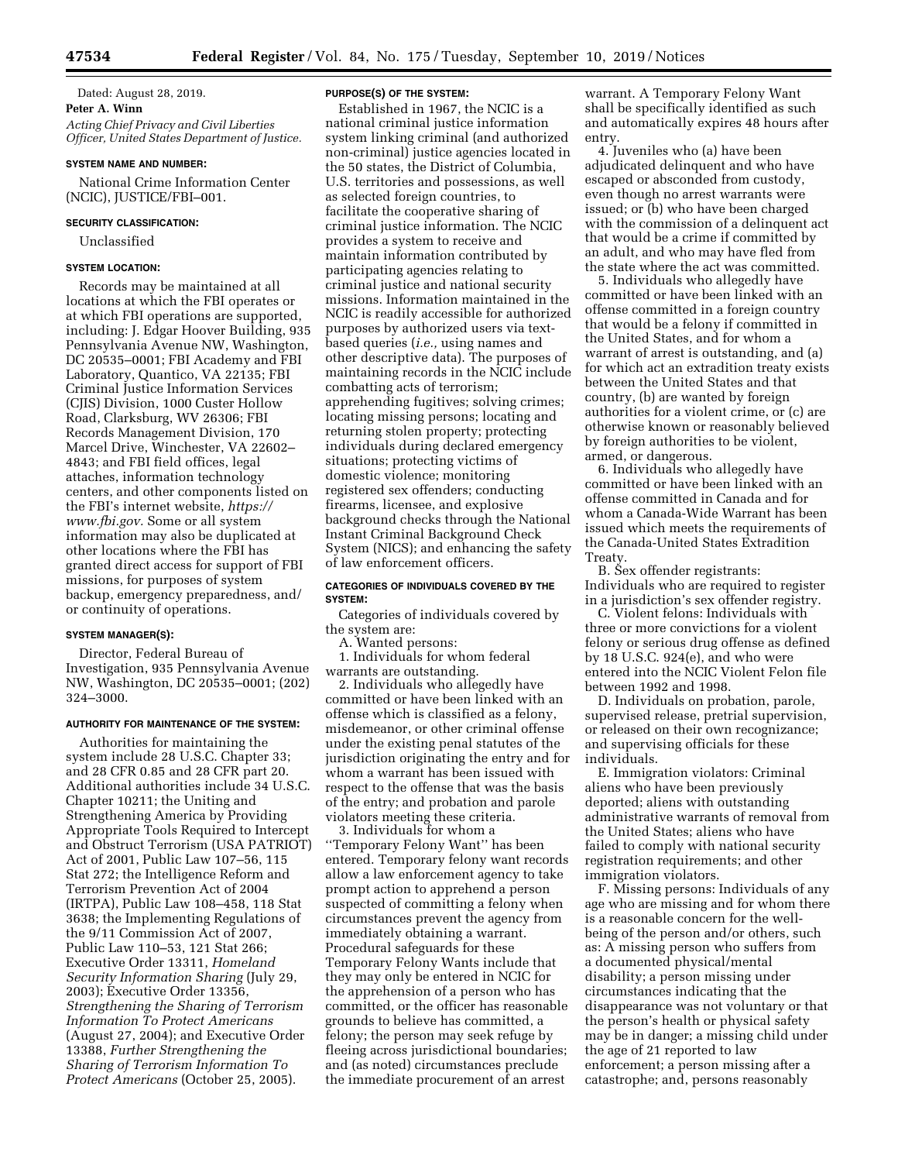# Dated: August 28, 2019. **Peter A. Winn**  *Acting Chief Privacy and Civil Liberties Officer, United States Department of Justice.*

### **SYSTEM NAME AND NUMBER:**

National Crime Information Center (NCIC), JUSTICE/FBI–001.

#### **SECURITY CLASSIFICATION:**

Unclassified

### **SYSTEM LOCATION:**

Records may be maintained at all locations at which the FBI operates or at which FBI operations are supported, including: J. Edgar Hoover Building, 935 Pennsylvania Avenue NW, Washington, DC 20535–0001; FBI Academy and FBI Laboratory, Quantico, VA 22135; FBI Criminal Justice Information Services (CJIS) Division, 1000 Custer Hollow Road, Clarksburg, WV 26306; FBI Records Management Division, 170 Marcel Drive, Winchester, VA 22602– 4843; and FBI field offices, legal attaches, information technology centers, and other components listed on the FBI's internet website, *[https://](https://www.fbi.gov) [www.fbi.gov.](https://www.fbi.gov)* Some or all system information may also be duplicated at other locations where the FBI has granted direct access for support of FBI missions, for purposes of system backup, emergency preparedness, and/ or continuity of operations.

## **SYSTEM MANAGER(S):**

Director, Federal Bureau of Investigation, 935 Pennsylvania Avenue NW, Washington, DC 20535–0001; (202) 324–3000.

## **AUTHORITY FOR MAINTENANCE OF THE SYSTEM:**

Authorities for maintaining the system include 28 U.S.C. Chapter 33; and 28 CFR 0.85 and 28 CFR part 20. Additional authorities include 34 U.S.C. Chapter 10211; the Uniting and Strengthening America by Providing Appropriate Tools Required to Intercept and Obstruct Terrorism (USA PATRIOT) Act of 2001, Public Law 107–56, 115 Stat 272; the Intelligence Reform and Terrorism Prevention Act of 2004 (IRTPA), Public Law 108–458, 118 Stat 3638; the Implementing Regulations of the 9/11 Commission Act of 2007, Public Law 110–53, 121 Stat 266; Executive Order 13311, *Homeland Security Information Sharing* (July 29, 2003); Executive Order 13356, *Strengthening the Sharing of Terrorism Information To Protect Americans*  (August 27, 2004); and Executive Order 13388, *Further Strengthening the Sharing of Terrorism Information To Protect Americans* (October 25, 2005).

#### **PURPOSE(S) OF THE SYSTEM:**

Established in 1967, the NCIC is a national criminal justice information system linking criminal (and authorized non-criminal) justice agencies located in the 50 states, the District of Columbia, U.S. territories and possessions, as well as selected foreign countries, to facilitate the cooperative sharing of criminal justice information. The NCIC provides a system to receive and maintain information contributed by participating agencies relating to criminal justice and national security missions. Information maintained in the NCIC is readily accessible for authorized purposes by authorized users via textbased queries (*i.e.,* using names and other descriptive data). The purposes of maintaining records in the NCIC include combatting acts of terrorism; apprehending fugitives; solving crimes; locating missing persons; locating and returning stolen property; protecting individuals during declared emergency situations; protecting victims of domestic violence; monitoring registered sex offenders; conducting firearms, licensee, and explosive background checks through the National Instant Criminal Background Check System (NICS); and enhancing the safety of law enforcement officers.

## **CATEGORIES OF INDIVIDUALS COVERED BY THE SYSTEM:**

Categories of individuals covered by the system are:

A. Wanted persons:

1. Individuals for whom federal warrants are outstanding.

2. Individuals who allegedly have committed or have been linked with an offense which is classified as a felony, misdemeanor, or other criminal offense under the existing penal statutes of the jurisdiction originating the entry and for whom a warrant has been issued with respect to the offense that was the basis of the entry; and probation and parole violators meeting these criteria.

3. Individuals for whom a ''Temporary Felony Want'' has been entered. Temporary felony want records allow a law enforcement agency to take prompt action to apprehend a person suspected of committing a felony when circumstances prevent the agency from immediately obtaining a warrant. Procedural safeguards for these Temporary Felony Wants include that they may only be entered in NCIC for the apprehension of a person who has committed, or the officer has reasonable grounds to believe has committed, a felony; the person may seek refuge by fleeing across jurisdictional boundaries; and (as noted) circumstances preclude the immediate procurement of an arrest

warrant. A Temporary Felony Want shall be specifically identified as such and automatically expires 48 hours after entry.

4. Juveniles who (a) have been adjudicated delinquent and who have escaped or absconded from custody, even though no arrest warrants were issued; or (b) who have been charged with the commission of a delinquent act that would be a crime if committed by an adult, and who may have fled from the state where the act was committed.

5. Individuals who allegedly have committed or have been linked with an offense committed in a foreign country that would be a felony if committed in the United States, and for whom a warrant of arrest is outstanding, and (a) for which act an extradition treaty exists between the United States and that country, (b) are wanted by foreign authorities for a violent crime, or (c) are otherwise known or reasonably believed by foreign authorities to be violent, armed, or dangerous.

6. Individuals who allegedly have committed or have been linked with an offense committed in Canada and for whom a Canada-Wide Warrant has been issued which meets the requirements of the Canada-United States Extradition Treaty.

B. Sex offender registrants: Individuals who are required to register in a jurisdiction's sex offender registry.

C. Violent felons: Individuals with three or more convictions for a violent felony or serious drug offense as defined by 18 U.S.C. 924(e), and who were entered into the NCIC Violent Felon file between 1992 and 1998.

D. Individuals on probation, parole, supervised release, pretrial supervision, or released on their own recognizance; and supervising officials for these individuals.

E. Immigration violators: Criminal aliens who have been previously deported; aliens with outstanding administrative warrants of removal from the United States; aliens who have failed to comply with national security registration requirements; and other immigration violators.

F. Missing persons: Individuals of any age who are missing and for whom there is a reasonable concern for the wellbeing of the person and/or others, such as: A missing person who suffers from a documented physical/mental disability; a person missing under circumstances indicating that the disappearance was not voluntary or that the person's health or physical safety may be in danger; a missing child under the age of 21 reported to law enforcement; a person missing after a catastrophe; and, persons reasonably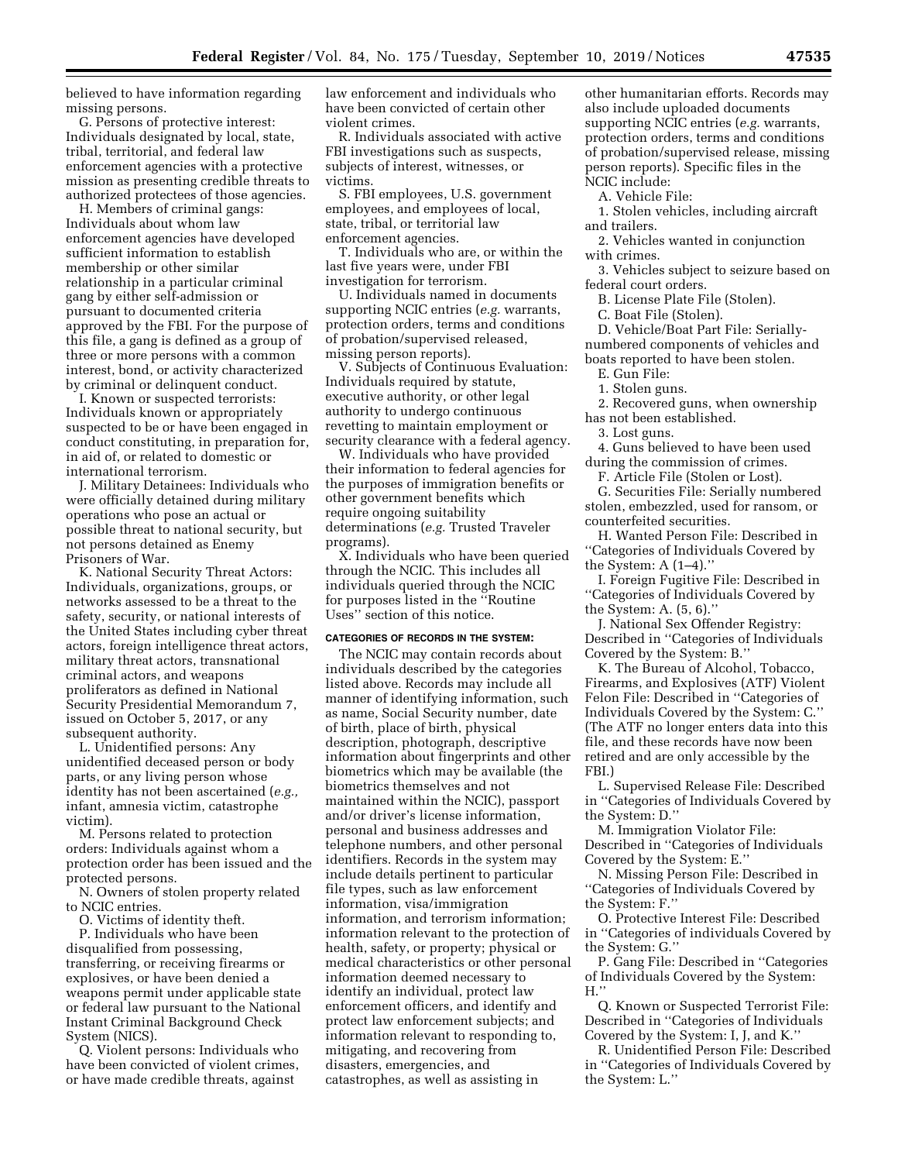believed to have information regarding missing persons.

G. Persons of protective interest: Individuals designated by local, state, tribal, territorial, and federal law enforcement agencies with a protective mission as presenting credible threats to authorized protectees of those agencies.

H. Members of criminal gangs: Individuals about whom law enforcement agencies have developed sufficient information to establish membership or other similar relationship in a particular criminal gang by either self-admission or pursuant to documented criteria approved by the FBI. For the purpose of this file, a gang is defined as a group of three or more persons with a common interest, bond, or activity characterized by criminal or delinquent conduct.

I. Known or suspected terrorists: Individuals known or appropriately suspected to be or have been engaged in conduct constituting, in preparation for, in aid of, or related to domestic or international terrorism.

J. Military Detainees: Individuals who were officially detained during military operations who pose an actual or possible threat to national security, but not persons detained as Enemy Prisoners of War.

K. National Security Threat Actors: Individuals, organizations, groups, or networks assessed to be a threat to the safety, security, or national interests of the United States including cyber threat actors, foreign intelligence threat actors, military threat actors, transnational criminal actors, and weapons proliferators as defined in National Security Presidential Memorandum 7, issued on October 5, 2017, or any subsequent authority.

L. Unidentified persons: Any unidentified deceased person or body parts, or any living person whose identity has not been ascertained (*e.g.,*  infant, amnesia victim, catastrophe victim).

M. Persons related to protection orders: Individuals against whom a protection order has been issued and the protected persons.

N. Owners of stolen property related to NCIC entries.

O. Victims of identity theft.

P. Individuals who have been disqualified from possessing, transferring, or receiving firearms or explosives, or have been denied a weapons permit under applicable state or federal law pursuant to the National Instant Criminal Background Check System (NICS).

Q. Violent persons: Individuals who have been convicted of violent crimes, or have made credible threats, against

law enforcement and individuals who have been convicted of certain other violent crimes.

R. Individuals associated with active FBI investigations such as suspects, subjects of interest, witnesses, or victims.

S. FBI employees, U.S. government employees, and employees of local, state, tribal, or territorial law enforcement agencies.

T. Individuals who are, or within the last five years were, under FBI investigation for terrorism.

U. Individuals named in documents supporting NCIC entries (*e.g.* warrants, protection orders, terms and conditions of probation/supervised released, missing person reports).

V. Subjects of Continuous Evaluation: Individuals required by statute, executive authority, or other legal authority to undergo continuous revetting to maintain employment or security clearance with a federal agency.

W. Individuals who have provided their information to federal agencies for the purposes of immigration benefits or other government benefits which require ongoing suitability determinations (*e.g.* Trusted Traveler programs).

X. Individuals who have been queried through the NCIC. This includes all individuals queried through the NCIC for purposes listed in the ''Routine Uses'' section of this notice.

#### **CATEGORIES OF RECORDS IN THE SYSTEM:**

The NCIC may contain records about individuals described by the categories listed above. Records may include all manner of identifying information, such as name, Social Security number, date of birth, place of birth, physical description, photograph, descriptive information about fingerprints and other biometrics which may be available (the biometrics themselves and not maintained within the NCIC), passport and/or driver's license information, personal and business addresses and telephone numbers, and other personal identifiers. Records in the system may include details pertinent to particular file types, such as law enforcement information, visa/immigration information, and terrorism information; information relevant to the protection of health, safety, or property; physical or medical characteristics or other personal information deemed necessary to identify an individual, protect law enforcement officers, and identify and protect law enforcement subjects; and information relevant to responding to, mitigating, and recovering from disasters, emergencies, and catastrophes, as well as assisting in

other humanitarian efforts. Records may also include uploaded documents supporting NCIC entries (*e.g.* warrants, protection orders, terms and conditions of probation/supervised release, missing person reports). Specific files in the NCIC include:

A. Vehicle File:

1. Stolen vehicles, including aircraft and trailers.

2. Vehicles wanted in conjunction with crimes.

3. Vehicles subject to seizure based on federal court orders.

B. License Plate File (Stolen).

C. Boat File (Stolen).

D. Vehicle/Boat Part File: Seriallynumbered components of vehicles and boats reported to have been stolen.

E. Gun File:

1. Stolen guns.

2. Recovered guns, when ownership has not been established.

3. Lost guns.

4. Guns believed to have been used during the commission of crimes.

F. Article File (Stolen or Lost).

G. Securities File: Serially numbered stolen, embezzled, used for ransom, or counterfeited securities.

H. Wanted Person File: Described in ''Categories of Individuals Covered by the System: A (1–4).''

I. Foreign Fugitive File: Described in ''Categories of Individuals Covered by the System: A. (5, 6).''

J. National Sex Offender Registry: Described in ''Categories of Individuals Covered by the System: B.''

K. The Bureau of Alcohol, Tobacco, Firearms, and Explosives (ATF) Violent Felon File: Described in ''Categories of Individuals Covered by the System: C.'' (The ATF no longer enters data into this file, and these records have now been retired and are only accessible by the FBI.)

L. Supervised Release File: Described in ''Categories of Individuals Covered by the System: D.''

M. Immigration Violator File: Described in ''Categories of Individuals Covered by the System: E.''

N. Missing Person File: Described in ''Categories of Individuals Covered by the System: F.''

O. Protective Interest File: Described in ''Categories of individuals Covered by the System: G.''

P. Gang File: Described in ''Categories of Individuals Covered by the System:  $H.'$ 

Q. Known or Suspected Terrorist File: Described in ''Categories of Individuals Covered by the System: I, J, and K.''

R. Unidentified Person File: Described in ''Categories of Individuals Covered by the System: L.''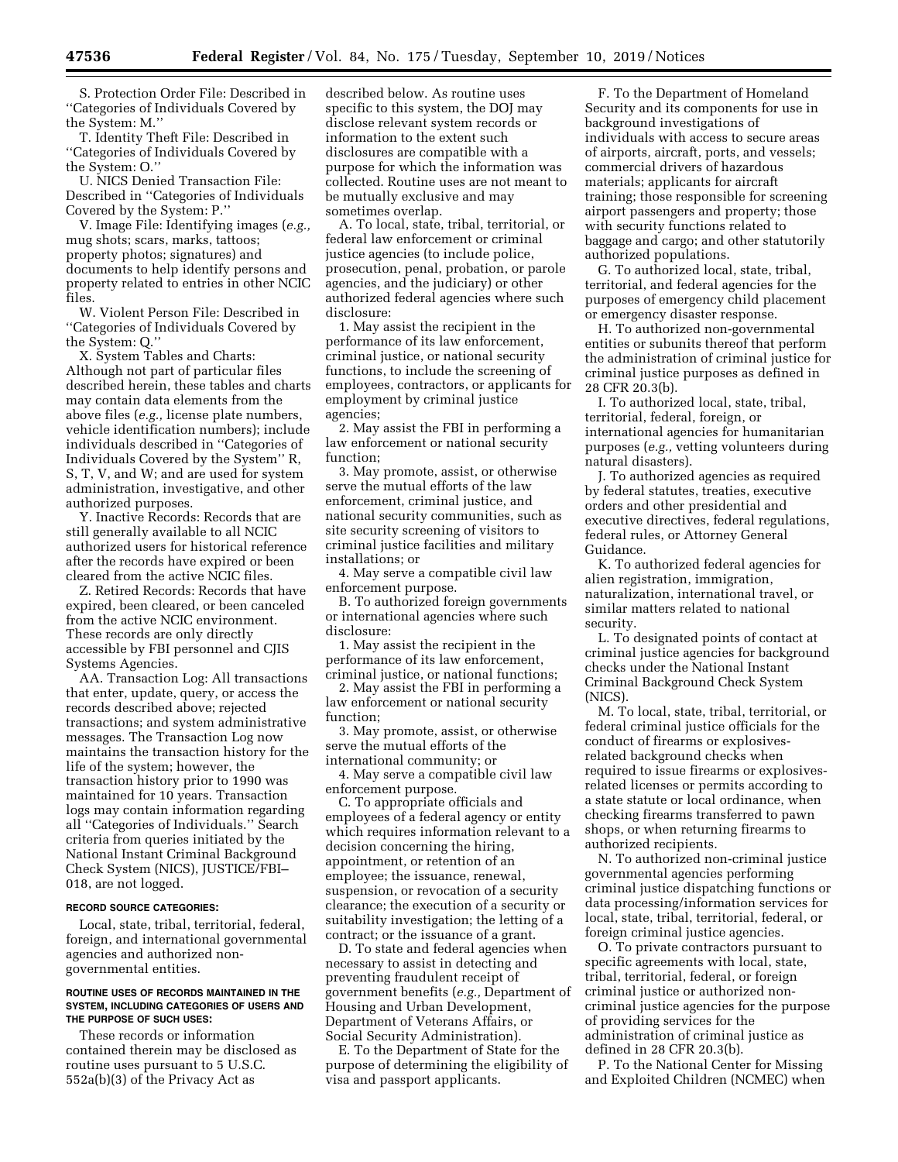S. Protection Order File: Described in ''Categories of Individuals Covered by the System: M.''

T. Identity Theft File: Described in ''Categories of Individuals Covered by the System: O.''

U. NICS Denied Transaction File: Described in ''Categories of Individuals Covered by the System: P.''

V. Image File: Identifying images (*e.g.,*  mug shots; scars, marks, tattoos; property photos; signatures) and documents to help identify persons and property related to entries in other NCIC files.

W. Violent Person File: Described in ''Categories of Individuals Covered by the System: Q.''

X. System Tables and Charts: Although not part of particular files described herein, these tables and charts may contain data elements from the above files (*e.g.,* license plate numbers, vehicle identification numbers); include individuals described in ''Categories of Individuals Covered by the System'' R, S, T, V, and W; and are used for system administration, investigative, and other authorized purposes.

Y. Inactive Records: Records that are still generally available to all NCIC authorized users for historical reference after the records have expired or been cleared from the active NCIC files.

Z. Retired Records: Records that have expired, been cleared, or been canceled from the active NCIC environment. These records are only directly accessible by FBI personnel and CJIS Systems Agencies.

AA. Transaction Log: All transactions that enter, update, query, or access the records described above; rejected transactions; and system administrative messages. The Transaction Log now maintains the transaction history for the life of the system; however, the transaction history prior to 1990 was maintained for 10 years. Transaction logs may contain information regarding all ''Categories of Individuals.'' Search criteria from queries initiated by the National Instant Criminal Background Check System (NICS), JUSTICE/FBI– 018, are not logged.

### **RECORD SOURCE CATEGORIES:**

Local, state, tribal, territorial, federal, foreign, and international governmental agencies and authorized nongovernmental entities.

### **ROUTINE USES OF RECORDS MAINTAINED IN THE SYSTEM, INCLUDING CATEGORIES OF USERS AND THE PURPOSE OF SUCH USES:**

These records or information contained therein may be disclosed as routine uses pursuant to 5 U.S.C. 552a(b)(3) of the Privacy Act as

described below. As routine uses specific to this system, the DOJ may disclose relevant system records or information to the extent such disclosures are compatible with a purpose for which the information was collected. Routine uses are not meant to be mutually exclusive and may sometimes overlap.

A. To local, state, tribal, territorial, or federal law enforcement or criminal justice agencies (to include police, prosecution, penal, probation, or parole agencies, and the judiciary) or other authorized federal agencies where such disclosure:

1. May assist the recipient in the performance of its law enforcement, criminal justice, or national security functions, to include the screening of employees, contractors, or applicants for employment by criminal justice agencies;

2. May assist the FBI in performing a law enforcement or national security function;

3. May promote, assist, or otherwise serve the mutual efforts of the law enforcement, criminal justice, and national security communities, such as site security screening of visitors to criminal justice facilities and military installations; or

4. May serve a compatible civil law enforcement purpose.

B. To authorized foreign governments or international agencies where such disclosure:

1. May assist the recipient in the performance of its law enforcement, criminal justice, or national functions;

2. May assist the FBI in performing a law enforcement or national security function;

3. May promote, assist, or otherwise serve the mutual efforts of the international community; or

4. May serve a compatible civil law enforcement purpose.

C. To appropriate officials and employees of a federal agency or entity which requires information relevant to a decision concerning the hiring, appointment, or retention of an employee; the issuance, renewal, suspension, or revocation of a security clearance; the execution of a security or suitability investigation; the letting of a contract; or the issuance of a grant.

D. To state and federal agencies when necessary to assist in detecting and preventing fraudulent receipt of government benefits (*e.g.,* Department of Housing and Urban Development, Department of Veterans Affairs, or Social Security Administration).

E. To the Department of State for the purpose of determining the eligibility of visa and passport applicants.

F. To the Department of Homeland Security and its components for use in background investigations of individuals with access to secure areas of airports, aircraft, ports, and vessels; commercial drivers of hazardous materials; applicants for aircraft training; those responsible for screening airport passengers and property; those with security functions related to baggage and cargo; and other statutorily authorized populations.

G. To authorized local, state, tribal, territorial, and federal agencies for the purposes of emergency child placement or emergency disaster response.

H. To authorized non-governmental entities or subunits thereof that perform the administration of criminal justice for criminal justice purposes as defined in 28 CFR 20.3(b).

I. To authorized local, state, tribal, territorial, federal, foreign, or international agencies for humanitarian purposes (*e.g.,* vetting volunteers during natural disasters).

J. To authorized agencies as required by federal statutes, treaties, executive orders and other presidential and executive directives, federal regulations, federal rules, or Attorney General Guidance.

K. To authorized federal agencies for alien registration, immigration, naturalization, international travel, or similar matters related to national security.

L. To designated points of contact at criminal justice agencies for background checks under the National Instant Criminal Background Check System (NICS).

M. To local, state, tribal, territorial, or federal criminal justice officials for the conduct of firearms or explosivesrelated background checks when required to issue firearms or explosivesrelated licenses or permits according to a state statute or local ordinance, when checking firearms transferred to pawn shops, or when returning firearms to authorized recipients.

N. To authorized non-criminal justice governmental agencies performing criminal justice dispatching functions or data processing/information services for local, state, tribal, territorial, federal, or foreign criminal justice agencies.

O. To private contractors pursuant to specific agreements with local, state, tribal, territorial, federal, or foreign criminal justice or authorized noncriminal justice agencies for the purpose of providing services for the administration of criminal justice as defined in 28 CFR 20.3(b).

P. To the National Center for Missing and Exploited Children (NCMEC) when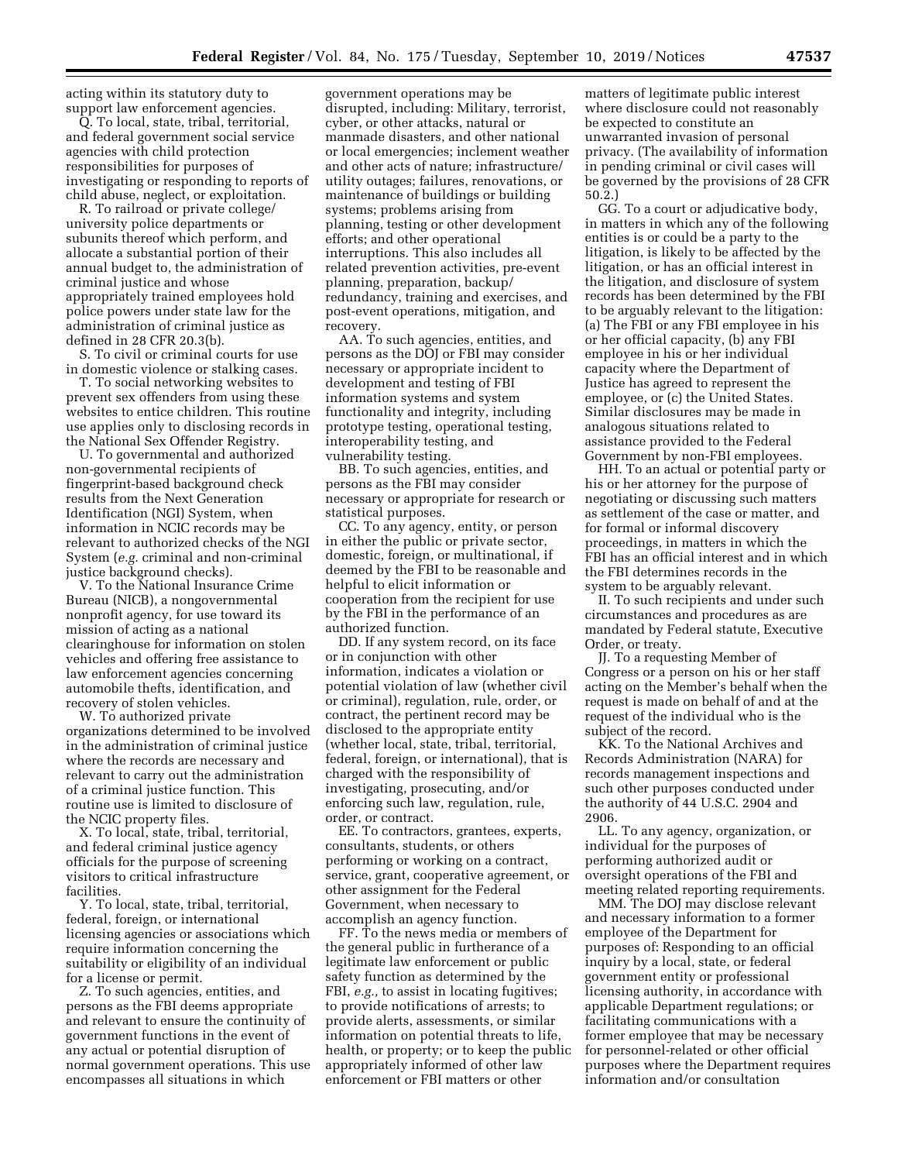acting within its statutory duty to support law enforcement agencies.

Q. To local, state, tribal, territorial, and federal government social service agencies with child protection responsibilities for purposes of investigating or responding to reports of child abuse, neglect, or exploitation.

R. To railroad or private college/ university police departments or subunits thereof which perform, and allocate a substantial portion of their annual budget to, the administration of criminal justice and whose appropriately trained employees hold police powers under state law for the administration of criminal justice as defined in 28 CFR 20.3(b).

S. To civil or criminal courts for use in domestic violence or stalking cases.

T. To social networking websites to prevent sex offenders from using these websites to entice children. This routine use applies only to disclosing records in the National Sex Offender Registry.

U. To governmental and authorized non-governmental recipients of fingerprint-based background check results from the Next Generation Identification (NGI) System, when information in NCIC records may be relevant to authorized checks of the NGI System (*e.g.* criminal and non-criminal justice background checks).

V. To the National Insurance Crime Bureau (NICB), a nongovernmental nonprofit agency, for use toward its mission of acting as a national clearinghouse for information on stolen vehicles and offering free assistance to law enforcement agencies concerning automobile thefts, identification, and recovery of stolen vehicles.

W. To authorized private organizations determined to be involved in the administration of criminal justice where the records are necessary and relevant to carry out the administration of a criminal justice function. This routine use is limited to disclosure of the NCIC property files.

X. To local, state, tribal, territorial, and federal criminal justice agency officials for the purpose of screening visitors to critical infrastructure facilities.

Y. To local, state, tribal, territorial, federal, foreign, or international licensing agencies or associations which require information concerning the suitability or eligibility of an individual for a license or permit.

Z. To such agencies, entities, and persons as the FBI deems appropriate and relevant to ensure the continuity of government functions in the event of any actual or potential disruption of normal government operations. This use encompasses all situations in which

government operations may be disrupted, including: Military, terrorist, cyber, or other attacks, natural or manmade disasters, and other national or local emergencies; inclement weather and other acts of nature; infrastructure/ utility outages; failures, renovations, or maintenance of buildings or building systems; problems arising from planning, testing or other development efforts; and other operational interruptions. This also includes all related prevention activities, pre-event planning, preparation, backup/ redundancy, training and exercises, and post-event operations, mitigation, and recovery.

AA. To such agencies, entities, and persons as the DOJ or FBI may consider necessary or appropriate incident to development and testing of FBI information systems and system functionality and integrity, including prototype testing, operational testing, interoperability testing, and vulnerability testing.

BB. To such agencies, entities, and persons as the FBI may consider necessary or appropriate for research or statistical purposes.

CC. To any agency, entity, or person in either the public or private sector, domestic, foreign, or multinational, if deemed by the FBI to be reasonable and helpful to elicit information or cooperation from the recipient for use by the FBI in the performance of an authorized function.

DD. If any system record, on its face or in conjunction with other information, indicates a violation or potential violation of law (whether civil or criminal), regulation, rule, order, or contract, the pertinent record may be disclosed to the appropriate entity (whether local, state, tribal, territorial, federal, foreign, or international), that is charged with the responsibility of investigating, prosecuting, and/or enforcing such law, regulation, rule, order, or contract.

EE. To contractors, grantees, experts, consultants, students, or others performing or working on a contract, service, grant, cooperative agreement, or other assignment for the Federal Government, when necessary to accomplish an agency function.

FF. To the news media or members of the general public in furtherance of a legitimate law enforcement or public safety function as determined by the FBI, *e.g.,* to assist in locating fugitives; to provide notifications of arrests; to provide alerts, assessments, or similar information on potential threats to life, health, or property; or to keep the public appropriately informed of other law enforcement or FBI matters or other

matters of legitimate public interest where disclosure could not reasonably be expected to constitute an unwarranted invasion of personal privacy. (The availability of information in pending criminal or civil cases will be governed by the provisions of 28 CFR 50.2.)

GG. To a court or adjudicative body, in matters in which any of the following entities is or could be a party to the litigation, is likely to be affected by the litigation, or has an official interest in the litigation, and disclosure of system records has been determined by the FBI to be arguably relevant to the litigation: (a) The FBI or any FBI employee in his or her official capacity, (b) any FBI employee in his or her individual capacity where the Department of Justice has agreed to represent the employee, or (c) the United States. Similar disclosures may be made in analogous situations related to assistance provided to the Federal Government by non-FBI employees.

HH. To an actual or potential party or his or her attorney for the purpose of negotiating or discussing such matters as settlement of the case or matter, and for formal or informal discovery proceedings, in matters in which the FBI has an official interest and in which the FBI determines records in the system to be arguably relevant.

II. To such recipients and under such circumstances and procedures as are mandated by Federal statute, Executive Order, or treaty.

JJ. To a requesting Member of Congress or a person on his or her staff acting on the Member's behalf when the request is made on behalf of and at the request of the individual who is the subject of the record.

KK. To the National Archives and Records Administration (NARA) for records management inspections and such other purposes conducted under the authority of 44 U.S.C. 2904 and 2906.

LL. To any agency, organization, or individual for the purposes of performing authorized audit or oversight operations of the FBI and meeting related reporting requirements.

MM. The DOJ may disclose relevant and necessary information to a former employee of the Department for purposes of: Responding to an official inquiry by a local, state, or federal government entity or professional licensing authority, in accordance with applicable Department regulations; or facilitating communications with a former employee that may be necessary for personnel-related or other official purposes where the Department requires information and/or consultation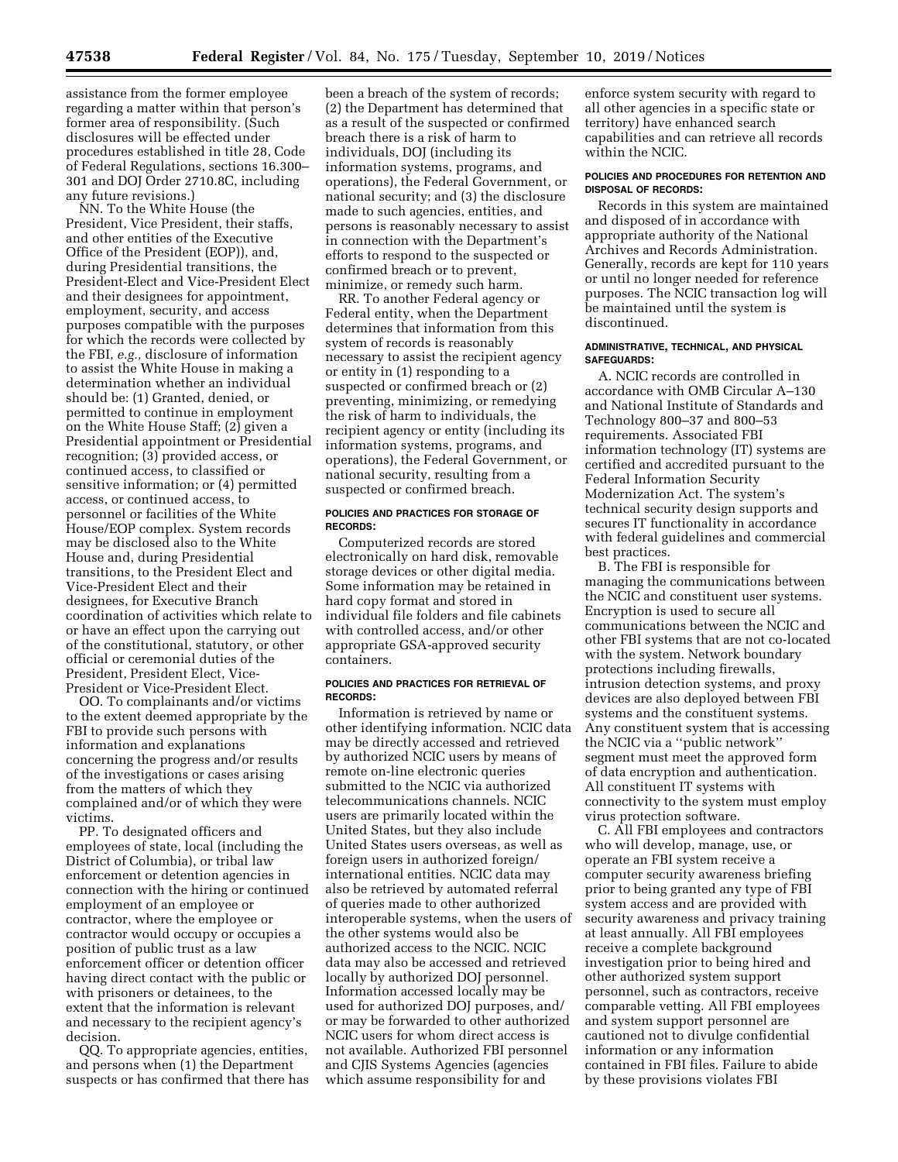assistance from the former employee regarding a matter within that person's former area of responsibility. (Such disclosures will be effected under procedures established in title 28, Code of Federal Regulations, sections 16.300– 301 and DOJ Order 2710.8C, including any future revisions.)

NN. To the White House (the President, Vice President, their staffs, and other entities of the Executive Office of the President (EOP)), and, during Presidential transitions, the President-Elect and Vice-President Elect and their designees for appointment, employment, security, and access purposes compatible with the purposes for which the records were collected by the FBI, *e.g.,* disclosure of information to assist the White House in making a determination whether an individual should be: (1) Granted, denied, or permitted to continue in employment on the White House Staff; (2) given a Presidential appointment or Presidential recognition; (3) provided access, or continued access, to classified or sensitive information; or (4) permitted access, or continued access, to personnel or facilities of the White House/EOP complex. System records may be disclosed also to the White House and, during Presidential transitions, to the President Elect and Vice-President Elect and their designees, for Executive Branch coordination of activities which relate to or have an effect upon the carrying out of the constitutional, statutory, or other official or ceremonial duties of the President, President Elect, Vice-President or Vice-President Elect.

OO. To complainants and/or victims to the extent deemed appropriate by the FBI to provide such persons with information and explanations concerning the progress and/or results of the investigations or cases arising from the matters of which they complained and/or of which they were victims.

PP. To designated officers and employees of state, local (including the District of Columbia), or tribal law enforcement or detention agencies in connection with the hiring or continued employment of an employee or contractor, where the employee or contractor would occupy or occupies a position of public trust as a law enforcement officer or detention officer having direct contact with the public or with prisoners or detainees, to the extent that the information is relevant and necessary to the recipient agency's decision.

QQ. To appropriate agencies, entities, and persons when (1) the Department suspects or has confirmed that there has

been a breach of the system of records; (2) the Department has determined that as a result of the suspected or confirmed breach there is a risk of harm to individuals, DOJ (including its information systems, programs, and operations), the Federal Government, or national security; and (3) the disclosure made to such agencies, entities, and persons is reasonably necessary to assist in connection with the Department's efforts to respond to the suspected or confirmed breach or to prevent, minimize, or remedy such harm.

RR. To another Federal agency or Federal entity, when the Department determines that information from this system of records is reasonably necessary to assist the recipient agency or entity in (1) responding to a suspected or confirmed breach or (2) preventing, minimizing, or remedying the risk of harm to individuals, the recipient agency or entity (including its information systems, programs, and operations), the Federal Government, or national security, resulting from a suspected or confirmed breach.

## **POLICIES AND PRACTICES FOR STORAGE OF RECORDS:**

Computerized records are stored electronically on hard disk, removable storage devices or other digital media. Some information may be retained in hard copy format and stored in individual file folders and file cabinets with controlled access, and/or other appropriate GSA-approved security containers.

### **POLICIES AND PRACTICES FOR RETRIEVAL OF RECORDS:**

Information is retrieved by name or other identifying information. NCIC data may be directly accessed and retrieved by authorized NCIC users by means of remote on-line electronic queries submitted to the NCIC via authorized telecommunications channels. NCIC users are primarily located within the United States, but they also include United States users overseas, as well as foreign users in authorized foreign/ international entities. NCIC data may also be retrieved by automated referral of queries made to other authorized interoperable systems, when the users of the other systems would also be authorized access to the NCIC. NCIC data may also be accessed and retrieved locally by authorized DOJ personnel. Information accessed locally may be used for authorized DOJ purposes, and/ or may be forwarded to other authorized NCIC users for whom direct access is not available. Authorized FBI personnel and CJIS Systems Agencies (agencies which assume responsibility for and

enforce system security with regard to all other agencies in a specific state or territory) have enhanced search capabilities and can retrieve all records within the NCIC.

## **POLICIES AND PROCEDURES FOR RETENTION AND DISPOSAL OF RECORDS:**

Records in this system are maintained and disposed of in accordance with appropriate authority of the National Archives and Records Administration. Generally, records are kept for 110 years or until no longer needed for reference purposes. The NCIC transaction log will be maintained until the system is discontinued.

#### **ADMINISTRATIVE, TECHNICAL, AND PHYSICAL SAFEGUARDS:**

A. NCIC records are controlled in accordance with OMB Circular A–130 and National Institute of Standards and Technology 800–37 and 800–53 requirements. Associated FBI information technology (IT) systems are certified and accredited pursuant to the Federal Information Security Modernization Act. The system's technical security design supports and secures IT functionality in accordance with federal guidelines and commercial best practices.

B. The FBI is responsible for managing the communications between the NCIC and constituent user systems. Encryption is used to secure all communications between the NCIC and other FBI systems that are not co-located with the system. Network boundary protections including firewalls, intrusion detection systems, and proxy devices are also deployed between FBI systems and the constituent systems. Any constituent system that is accessing the NCIC via a ''public network'' segment must meet the approved form of data encryption and authentication. All constituent IT systems with connectivity to the system must employ virus protection software.

C. All FBI employees and contractors who will develop, manage, use, or operate an FBI system receive a computer security awareness briefing prior to being granted any type of FBI system access and are provided with security awareness and privacy training at least annually. All FBI employees receive a complete background investigation prior to being hired and other authorized system support personnel, such as contractors, receive comparable vetting. All FBI employees and system support personnel are cautioned not to divulge confidential information or any information contained in FBI files. Failure to abide by these provisions violates FBI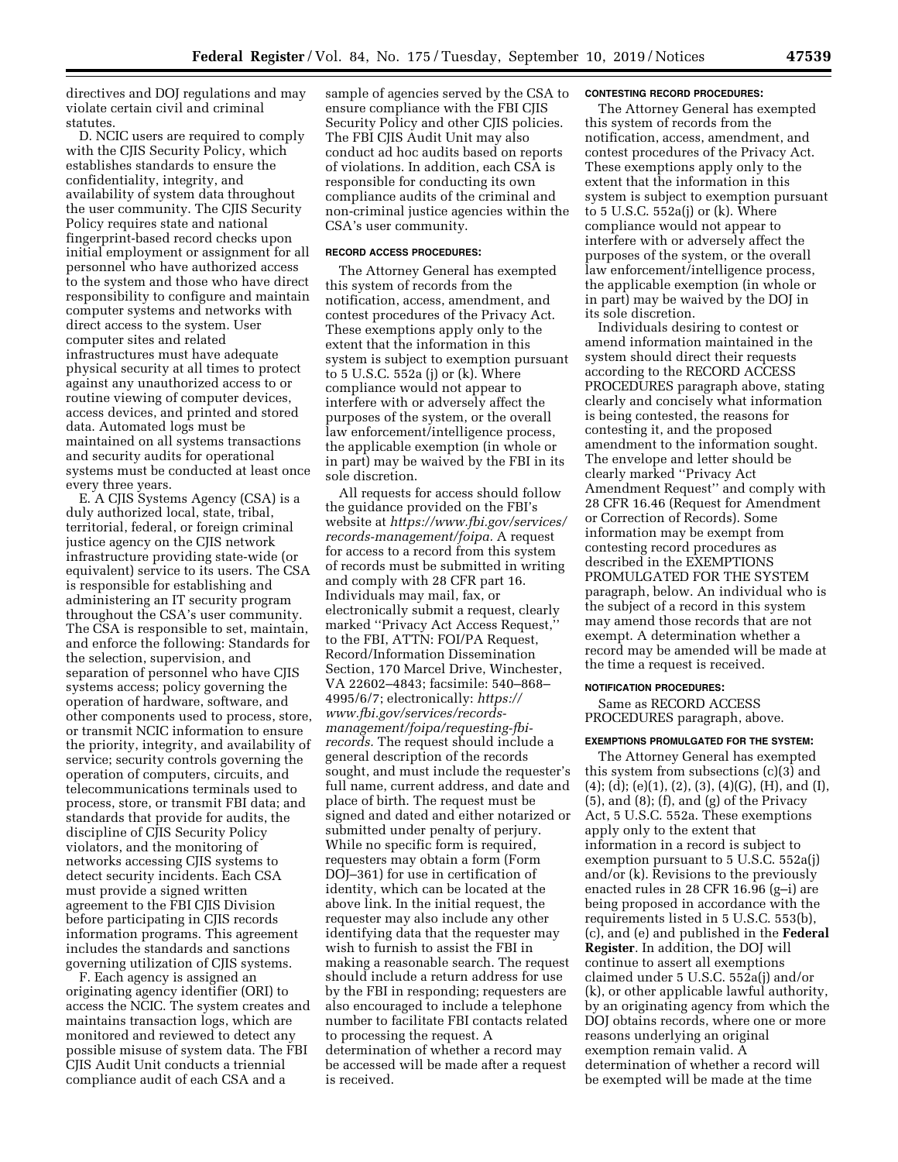directives and DOJ regulations and may violate certain civil and criminal statutes.

D. NCIC users are required to comply with the CJIS Security Policy, which establishes standards to ensure the confidentiality, integrity, and availability of system data throughout the user community. The CJIS Security Policy requires state and national fingerprint-based record checks upon initial employment or assignment for all personnel who have authorized access to the system and those who have direct responsibility to configure and maintain computer systems and networks with direct access to the system. User computer sites and related infrastructures must have adequate physical security at all times to protect against any unauthorized access to or routine viewing of computer devices, access devices, and printed and stored data. Automated logs must be maintained on all systems transactions and security audits for operational systems must be conducted at least once every three years.

E. A CJIS Systems Agency (CSA) is a duly authorized local, state, tribal, territorial, federal, or foreign criminal justice agency on the CJIS network infrastructure providing state-wide (or equivalent) service to its users. The CSA is responsible for establishing and administering an IT security program throughout the CSA's user community. The CSA is responsible to set, maintain, and enforce the following: Standards for the selection, supervision, and separation of personnel who have CJIS systems access; policy governing the operation of hardware, software, and other components used to process, store, or transmit NCIC information to ensure the priority, integrity, and availability of service; security controls governing the operation of computers, circuits, and telecommunications terminals used to process, store, or transmit FBI data; and standards that provide for audits, the discipline of CJIS Security Policy violators, and the monitoring of networks accessing CJIS systems to detect security incidents. Each CSA must provide a signed written agreement to the FBI CJIS Division before participating in CJIS records information programs. This agreement includes the standards and sanctions governing utilization of CJIS systems.

F. Each agency is assigned an originating agency identifier (ORI) to access the NCIC. The system creates and maintains transaction logs, which are monitored and reviewed to detect any possible misuse of system data. The FBI CJIS Audit Unit conducts a triennial compliance audit of each CSA and a

sample of agencies served by the CSA to ensure compliance with the FBI CJIS Security Policy and other CJIS policies. The FBI CJIS Audit Unit may also conduct ad hoc audits based on reports of violations. In addition, each CSA is responsible for conducting its own compliance audits of the criminal and non-criminal justice agencies within the CSA's user community.

## **RECORD ACCESS PROCEDURES:**

The Attorney General has exempted this system of records from the notification, access, amendment, and contest procedures of the Privacy Act. These exemptions apply only to the extent that the information in this system is subject to exemption pursuant to 5 U.S.C. 552a (j) or (k). Where compliance would not appear to interfere with or adversely affect the purposes of the system, or the overall law enforcement/intelligence process, the applicable exemption (in whole or in part) may be waived by the FBI in its sole discretion.

All requests for access should follow the guidance provided on the FBI's website at *[https://www.fbi.gov/services/](https://www.fbi.gov/services/records-management/foipa) [records-management/foipa.](https://www.fbi.gov/services/records-management/foipa)* A request for access to a record from this system of records must be submitted in writing and comply with 28 CFR part 16. Individuals may mail, fax, or electronically submit a request, clearly marked ''Privacy Act Access Request,'' to the FBI, ATTN: FOI/PA Request, Record/Information Dissemination Section, 170 Marcel Drive, Winchester, VA 22602–4843; facsimile: 540–868– 4995/6/7; electronically: *[https://](https://www.fbi.gov/services/records-management/foipa/requesting-fbi-records) [www.fbi.gov/services/records](https://www.fbi.gov/services/records-management/foipa/requesting-fbi-records)[management/foipa/requesting-fbi](https://www.fbi.gov/services/records-management/foipa/requesting-fbi-records)[records.](https://www.fbi.gov/services/records-management/foipa/requesting-fbi-records)* The request should include a general description of the records sought, and must include the requester's full name, current address, and date and place of birth. The request must be signed and dated and either notarized or submitted under penalty of perjury. While no specific form is required, requesters may obtain a form (Form DOJ–361) for use in certification of identity, which can be located at the above link. In the initial request, the requester may also include any other identifying data that the requester may wish to furnish to assist the FBI in making a reasonable search. The request should include a return address for use by the FBI in responding; requesters are also encouraged to include a telephone number to facilitate FBI contacts related to processing the request. A determination of whether a record may be accessed will be made after a request is received.

#### **CONTESTING RECORD PROCEDURES:**

The Attorney General has exempted this system of records from the notification, access, amendment, and contest procedures of the Privacy Act. These exemptions apply only to the extent that the information in this system is subject to exemption pursuant to 5 U.S.C. 552a(j) or (k). Where compliance would not appear to interfere with or adversely affect the purposes of the system, or the overall law enforcement/intelligence process, the applicable exemption (in whole or in part) may be waived by the DOJ in its sole discretion.

Individuals desiring to contest or amend information maintained in the system should direct their requests according to the RECORD ACCESS PROCEDURES paragraph above, stating clearly and concisely what information is being contested, the reasons for contesting it, and the proposed amendment to the information sought. The envelope and letter should be clearly marked ''Privacy Act Amendment Request'' and comply with 28 CFR 16.46 (Request for Amendment or Correction of Records). Some information may be exempt from contesting record procedures as described in the EXEMPTIONS PROMULGATED FOR THE SYSTEM paragraph, below. An individual who is the subject of a record in this system may amend those records that are not exempt. A determination whether a record may be amended will be made at the time a request is received.

#### **NOTIFICATION PROCEDURES:**

Same as RECORD ACCESS PROCEDURES paragraph, above.

#### **EXEMPTIONS PROMULGATED FOR THE SYSTEM:**

The Attorney General has exempted this system from subsections (c)(3) and  $(4)$ ; (d); (e)(1), (2), (3), (4)(G), (H), and (I), (5), and (8); (f), and (g) of the Privacy Act, 5 U.S.C. 552a. These exemptions apply only to the extent that information in a record is subject to exemption pursuant to 5 U.S.C. 552a(j) and/or (k). Revisions to the previously enacted rules in 28 CFR 16.96 (g–i) are being proposed in accordance with the requirements listed in 5 U.S.C. 553(b), (c), and (e) and published in the **Federal Register**. In addition, the DOJ will continue to assert all exemptions claimed under 5 U.S.C. 552a(j) and/or (k), or other applicable lawful authority, by an originating agency from which the DOJ obtains records, where one or more reasons underlying an original exemption remain valid. A determination of whether a record will be exempted will be made at the time